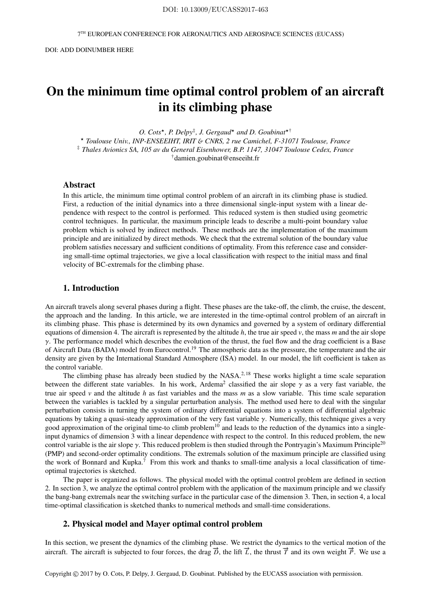7 TH EUROPEAN CONFERENCE FOR AERONAUTICS AND AEROSPACE SCIENCES (EUCASS)

# On the minimum time optimal control problem of an aircraft in its climbing phase

*O. Cots*? *, P. Delpy*‡ *, J. Gergaud*? *and D. Goubinat*?†

? *Toulouse Univ., INP-ENSEEIHT, IRIT* & *CNRS, 2 rue Camichel, F-31071 Toulouse, France* ‡ *Thales Avionics SA, 105 av du General Eisenhower, B.P. 1147, 31047 Toulouse Cedex, France* †damien.goubinat@enseeiht.fr

# Abstract

In this article, the minimum time optimal control problem of an aircraft in its climbing phase is studied. First, a reduction of the initial dynamics into a three dimensional single-input system with a linear dependence with respect to the control is performed. This reduced system is then studied using geometric control techniques. In particular, the maximum principle leads to describe a multi-point boundary value problem which is solved by indirect methods. These methods are the implementation of the maximum principle and are initialized by direct methods. We check that the extremal solution of the boundary value problem satisfies necessary and sufficient conditions of optimality. From this reference case and considering small-time optimal trajectories, we give a local classification with respect to the initial mass and final velocity of BC-extremals for the climbing phase.

# 1. Introduction

An aircraft travels along several phases during a flight. These phases are the take-off, the climb, the cruise, the descent, the approach and the landing. In this article, we are interested in the time-optimal control problem of an aircraft in its climbing phase. This phase is determined by its own dynamics and governed by a system of ordinary differential equations of dimension 4. The aircraft is represented by the altitude  $h$ , the true air speed  $v$ , the mass  $m$  and the air slope  $\gamma$ . The performance model which describes the evolution of the thrust, the fuel flow and the drag coefficient is a Base of Aircraft Data (BADA) model from Eurocontrol.<sup>19</sup> The atmospheric data as the pressure, the temperature and the air density are given by the International Standard Atmosphere (ISA) model. In our model, the lift coefficient is taken as the control variable.

The climbing phase has already been studied by the NASA.<sup>2, 18</sup> These works higlight a time scale separation between the different state variables. In his work, Ardema<sup>2</sup> classified the air slope  $\gamma$  as a very fast variable, the true air speed *v* and the altitude *h* as fast variables and the mass *m* as a slow variable. This time scale separation between the variables is tackled by a singular perturbation analysis. The method used here to deal with the singular perturbation consists in turning the system of ordinary differential equations into a system of differential algebraic equations by taking a quasi-steady approximation of the very fast variable  $\gamma$ . Numerically, this technique gives a very good approximation of the original time-to climb problem<sup>10</sup> and leads to the reduction of the dynamics into a singleinput dynamics of dimension 3 with a linear dependence with respect to the control. In this reduced problem, the new control variable is the air slope  $\gamma$ . This reduced problem is then studied through the Pontryagin's Maximum Principle<sup>20</sup> (PMP) and second-order optimality conditions. The extremals solution of the maximum principle are classified using the work of Bonnard and  $Kupka<sup>7</sup>$  From this work and thanks to small-time analysis a local classification of timeoptimal trajectories is sketched.

The paper is organized as follows. The physical model with the optimal control problem are defined in section 2. In section 3, we analyze the optimal control problem with the application of the maximum principle and we classify the bang-bang extremals near the switching surface in the particular case of the dimension 3. Then, in section 4, a local time-optimal classification is sketched thanks to numerical methods and small-time considerations.

## 2. Physical model and Mayer optimal control problem

In this section, we present the dynamics of the climbing phase. We restrict the dynamics to the vertical motion of the aircraft. The aircraft is subjected to four forces, the drag  $\vec{D}$ , the lift  $\vec{L}$ , the thrust  $\vec{T}$  and its own weight  $\vec{P}$ . We use a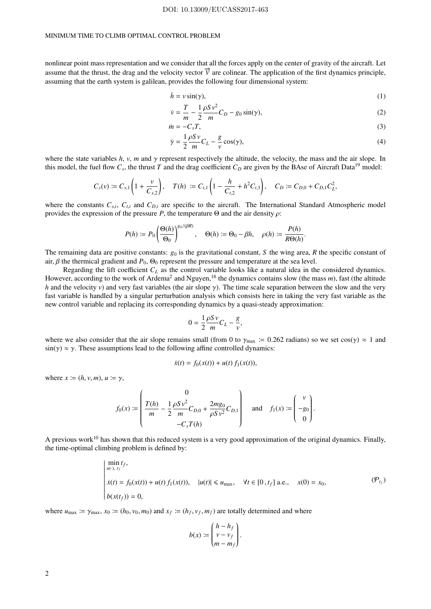#### DOI: 10.13009/EUCASS2017-463

#### MINIMUM TIME TO CLIMB OPTIMAL CONTROL PROBLEM

nonlinear point mass representation and we consider that all the forces apply on the center of gravity of the aircraft. Let assume that the thrust, the drag and the velocity vector  $\vec{v}$  are colinear. The application of the first dynamics principle, assuming that the earth system is galilean, provides the following four dimensional system:

$$
\dot{h} = v \sin(\gamma),\tag{1}
$$

$$
\dot{v} = \frac{T}{m} - \frac{1}{2} \frac{\rho S v^2}{m} C_D - g_0 \sin(\gamma),\tag{2}
$$

$$
\dot{m} = -C_s T,\tag{3}
$$

$$
\dot{\gamma} = \frac{1}{2} \frac{\rho S v}{m} C_L - \frac{g}{v} \cos(\gamma),\tag{4}
$$

where the state variables  $h$ ,  $v$ ,  $m$  and  $\gamma$  represent respectively the altitude, the velocity, the mass and the air slope. In this model, the fuel flow  $C_s$ , the thrust  $T$  and the drag coefficient  $C_D$  are given by the BAse of Aircraft Data<sup>19</sup> model:

$$
C_s(v) := C_{s,1}\left(1+\frac{v}{C_{s,2}}\right), \quad T(h) := C_{t,1}\left(1-\frac{h}{C_{t,2}}+h^2C_{t,3}\right), \quad C_D := C_{D,0}+C_{D,1}C_L^2,
$$

where the constants  $C_{s,i}$ ,  $C_{t,i}$  and  $C_{D,i}$  are specific to the aircraft. The International Standard Atmospheric model provides the expression of the pressure *P*, the temperature  $\Theta$  and the air density  $\rho$ :

$$
P(h) \coloneqq P_0 \left( \frac{\Theta(h)}{\Theta_0} \right)^{g_0/(\beta R)}, \quad \Theta(h) \coloneqq \Theta_0 - \beta h, \quad \rho(h) \coloneqq \frac{P(h)}{R\Theta(h)}.
$$

The remaining data are positive constants:  $g_0$  is the gravitational constant, *S* the wing area, *R* the specific constant of air,  $\beta$  the thermical gradient and  $P_0$ ,  $\Theta_0$  represent the pressure and temperature at the sea level.

Regarding the lift coefficient *C<sup>L</sup>* as the control variable looks like a natural idea in the considered dynamics. However, according to the work of Ardema<sup>2</sup> and Nguyen,<sup>18</sup> the dynamics contains slow (the mass *m*), fast (the altitude *h* and the velocity *v*) and very fast variables (the air slope γ). The time scale separation between the slow and the very fast variable is handled by a singular perturbation analysis which consists here in taking the very fast variable as the new control variable and replacing its corresponding dynamics by a quasi-steady approximation:

$$
0 = \frac{1}{2} \frac{\rho S v}{m} C_L - \frac{g}{v}
$$

,

where we also consider that the air slope remains small (from 0 to  $\gamma_{\text{max}} \coloneq 0.262$  radians) so we set cos( $\gamma$ )  $\approx 1$  and  $\sin(\gamma) \approx \gamma$ . These assumptions lead to the following affine controlled dynamics:

$$
\dot{x}(t) = f_0(x(t)) + u(t) f_1(x(t)),
$$

where  $x \coloneqq (h, v, m), u \coloneqq \gamma$ ,

$$
f_0(x) := \begin{pmatrix} 0 \\ \frac{T(h)}{m} - \frac{1}{2} \frac{\rho S v^2}{m} C_{D,0} + \frac{2m g_0}{\rho S v^2} C_{D,1} \\ -C_s T(h) \end{pmatrix} \text{ and } f_1(x) := \begin{pmatrix} v \\ -g_0 \\ 0 \end{pmatrix}.
$$

A previous work<sup>10</sup> has shown that this reduced system is a very good approximation of the original dynamics. Finally, the time-optimal climbing problem is defined by:

$$
\begin{cases}\n\min_{u(\cdot),\ t_f} t_f, \\
\dot{x}(t) = f_0(x(t)) + u(t) f_1(x(t)), \quad |u(t)| \le u_{\text{max}}, \quad \forall t \in [0, t_f] \text{ a.e., } x(0) = x_0, \\
b(x(t_f)) = 0,\n\end{cases} (P_{t_f})
$$

where  $u_{\text{max}} \coloneqq \gamma_{\text{max}}$ ,  $x_0 \coloneqq (h_0, v_0, m_0)$  and  $x_f \coloneqq (h_f, v_f, m_f)$  are totally determined and where

$$
b(x) := \begin{pmatrix} h - h_f \\ v - v_f \\ m - m_f \end{pmatrix}.
$$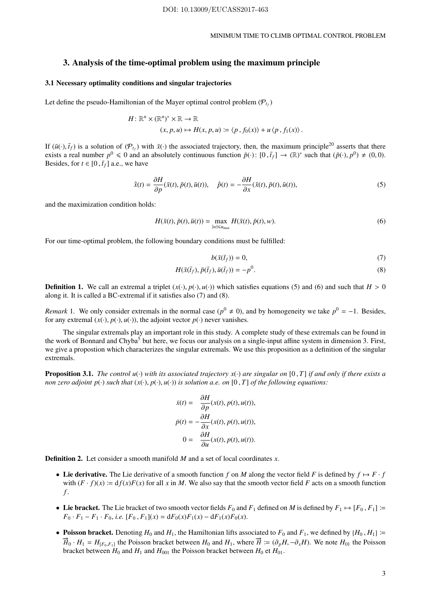## 3. Analysis of the time-optimal problem using the maximum principle

## 3.1 Necessary optimality conditions and singular trajectories

Let define the pseudo-Hamiltonian of the Mayer optimal control problem  $(\mathcal{P}_{t_f})$ 

$$
H: \mathbb{R}^n \times (\mathbb{R}^n)^* \times \mathbb{R} \to \mathbb{R}
$$
  

$$
(x, p, u) \mapsto H(x, p, u) := \langle p, f_0(x) \rangle + u \langle p, f_1(x) \rangle.
$$

If  $(\bar{u}(\cdot), \bar{t}_f)$  is a solution of  $(\mathcal{P}_{t_f})$  with  $\bar{x}(\cdot)$  the associated trajectory, then, the maximum principle<sup>20</sup> asserts that there exists a real number  $p^0 \le 0$  and an absolutely continuous function  $\bar{p}(\cdot)$ :  $[0, \bar{t}_f] \to (\mathbb{R})^*$  such that  $(\bar{p}(\cdot), p^0) \ne (0, 0)$ . Besides, for  $t \in [0, \bar{t}_f]$  a.e., we have

$$
\dot{\bar{x}}(t) = \frac{\partial H}{\partial p}(\bar{x}(t), \bar{p}(t), \bar{u}(t)), \quad \dot{\bar{p}}(t) = -\frac{\partial H}{\partial x}(\bar{x}(t), \bar{p}(t), \bar{u}(t)),\tag{5}
$$

and the maximization condition holds:

$$
H(\bar{x}(t), \bar{p}(t), \bar{u}(t)) = \max_{|w| \le u_{\max}} H(\bar{x}(t), \bar{p}(t), w).
$$
 (6)

For our time-optimal problem, the following boundary conditions must be fulfilled:

$$
b(\bar{x}(\bar{t}_f)) = 0,\tag{7}
$$

$$
H(\bar{x}(\bar{t}_f), \bar{p}(\bar{t}_f), \bar{u}(\bar{t}_f)) = -p^0.
$$
\n
$$
(8)
$$

**Definition 1.** We call an extremal a triplet  $(x(\cdot), p(\cdot), u(\cdot))$  which satisfies equations (5) and (6) and such that  $H > 0$ along it. It is called a BC-extremal if it satisfies also (7) and (8).

*Remark* 1. We only consider extremals in the normal case ( $p^0 \neq 0$ ), and by homogeneity we take  $p^0 = -1$ . Besides, for any extremal  $(x(\cdot), p(\cdot), u(\cdot))$ , the adjoint vector  $p(\cdot)$  never vanishes.

The singular extremals play an important role in this study. A complete study of these extremals can be found in the work of Bonnard and Chyba<sup>5</sup> but here, we focus our analysis on a single-input affine system in dimension 3. First, we give a propostion which characterizes the singular extremals. We use this proposition as a definition of the singular extremals.

**Proposition 3.1.** *The control u(·) with its associated trajectory*  $x(\cdot)$  *are singular on* [0, *T*] *if and only if there exists a non zero adjoint*  $p(\cdot)$  *such that*  $(x(\cdot), p(\cdot), u(\cdot))$  *is solution a.e. on* [0, *T*] *of the following equations:* 

$$
\dot{x}(t) = \frac{\partial H}{\partial p}(x(t), p(t), u(t)),
$$
\n
$$
\dot{p}(t) = -\frac{\partial H}{\partial x}(x(t), p(t), u(t)),
$$
\n
$$
0 = \frac{\partial H}{\partial u}(x(t), p(t), u(t)).
$$

Definition 2. Let consider a smooth manifold *M* and a set of local coordinates *x*.

- Lie derivative. The Lie derivative of a smooth function f on M along the vector field F is defined by  $f \mapsto F \cdot f$ with  $(F \cdot f)(x) := df(x)F(x)$  for all x in M. We also say that the smooth vector field F acts on a smooth function *f* .
- Lie bracket. The Lie bracket of two smooth vector fields  $F_0$  and  $F_1$  defined on *M* is defined by  $F_1 \mapsto [F_0, F_1] :=$  $F_0 \cdot F_1 - F_1 \cdot F_0$ , *i.e.*  $[F_0, F_1](x) = dF_0(x)F_1(x) - dF_1(x)F_0(x)$ .
- Poisson bracket. Denoting  $H_0$  and  $H_1$ , the Hamiltonian lifts associated to  $F_0$  and  $F_1$ , we defined by  $\{H_0, H_1\}$  =  $\vec{H}_0 \cdot H_1 = H_{[F_0, F_1]}$  the Poisson bracket between  $H_0$  and  $H_1$ , where  $\vec{H} \coloneqq (\partial_p H, -\partial_x H)$ . We note  $H_{01}$  the Poisson bracket between  $H_0$  and  $H_1$  and  $H_{001}$  the Poisson bracket between  $H_0$  et  $H_{01}$ .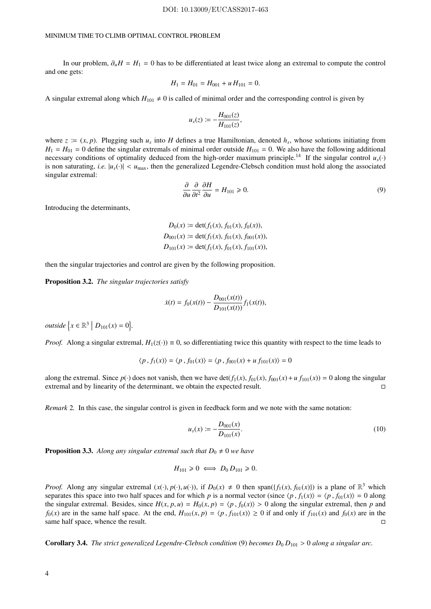In our problem,  $\partial_{\mu}H = H_1 = 0$  has to be differentiated at least twice along an extremal to compute the control and one gets:

$$
H_1 = H_{01} = H_{001} + u H_{101} = 0.
$$

A singular extremal along which  $H_{101} \neq 0$  is called of minimal order and the corresponding control is given by

$$
u_s(z) := -\frac{H_{001}(z)}{H_{101}(z)},
$$

where  $z = (x, p)$ . Plugging such  $u_s$  into *H* defines a true Hamiltonian, denoted  $h_s$ , whose solutions initiating from  $H_1 = H_{01} = 0$  define the singular extremals of minimal order outside  $H_{101} = 0$ . We also have the following additional necessary conditions of optimality deduced from the high-order maximum principle.<sup>14</sup> If the singular control  $u_s(\cdot)$ is non saturating, *i.e.*  $|u_s(\cdot)| < u_{\text{max}}$ , then the generalized Legendre-Clebsch condition must hold along the associated singular extremal:

$$
\frac{\partial}{\partial u}\frac{\partial}{\partial t^2}\frac{\partial H}{\partial u} = H_{101} \ge 0.
$$
\n(9)

Introducing the determinants,

$$
D_0(x) := \det(f_1(x), f_{01}(x), f_0(x)),
$$
  
\n
$$
D_{001}(x) := \det(f_1(x), f_{01}(x), f_{001}(x)),
$$
  
\n
$$
D_{101}(x) := \det(f_1(x), f_{01}(x), f_{101}(x)),
$$

then the singular trajectories and control are given by the following proposition.

Proposition 3.2. *The singular trajectories satisfy*

$$
\dot{x}(t) = f_0(x(t)) - \frac{D_{001}(x(t))}{D_{101}(x(t))} f_1(x(t)),
$$

*outside*  $\{x \in \mathbb{R}^3 \mid D_{101}(x) = 0\}.$ 

*Proof.* Along a singular extremal,  $H_1(z(\cdot)) \equiv 0$ , so differentiating twice this quantity with respect to the time leads to

$$
\langle p, f_1(x) \rangle = \langle p, f_{01}(x) \rangle = \langle p, f_{001}(x) + u f_{101}(x) \rangle = 0
$$

along the extremal. Since  $p(\cdot)$  does not vanish, then we have det( $f_1(x)$ ,  $f_{01}(x)$ ,  $f_{001}(x) + u f_{101}(x) = 0$  along the singular extremal and by linearity of the determinant we obtain the expected result extremal and by linearity of the determinant, we obtain the expected result.

*Remark* 2*.* In this case, the singular control is given in feedback form and we note with the same notation:

$$
u_s(x) := -\frac{D_{001}(x)}{D_{101}(x)}.\t(10)
$$

**Proposition 3.3.** Along any singular extremal such that  $D_0 \neq 0$  we have

$$
H_{101} \geq 0 \iff D_0 D_{101} \geq 0.
$$

*Proof.* Along any singular extremal  $(x(\cdot), p(\cdot), u(\cdot))$ , if  $D_0(x) \neq 0$  then span $(\{f_1(x), f_{01}(x)\})$  is a plane of  $\mathbb{R}^3$  which separates this space into two half spaces and for which *p* is a normal vector (since  $\langle p, f_1(x) \rangle = \langle p, f_0(x) \rangle = 0$  along the singular extremal. Besides, since  $H(x, p, u) = H_0(x, p) = \langle p, f_0(x) \rangle > 0$  along the singular extremal, then *p* and *f*<sub>0</sub>(*x*) are in the same half space. At the end,  $H_{101}(x, p) = \langle p, f_{101}(x) \rangle \ge 0$  if and only if  $f_{101}(x)$  and  $f_0(x)$  are in the same half space, whence the result. same half space, whence the result.

**Corollary 3.4.** *The strict generalized Legendre-Clebsch condition* (9) *becomes*  $D_0 D_{101} > 0$  *along a singular arc.*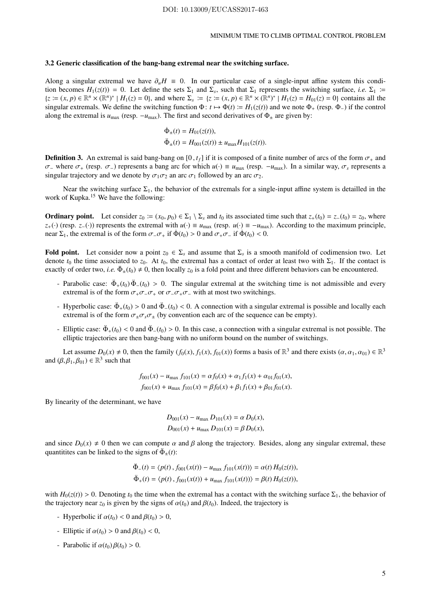## 3.2 Generic classification of the bang-bang extremal near the switching surface.

Along a singular extremal we have  $\partial_{\mu}H = 0$ . In our particular case of a single-input affine system this condition becomes  $H_1(z(t)) = 0$ . Let define the sets  $\Sigma_1$  and  $\Sigma_s$ , such that  $\Sigma_1$  represents the switching surface, *i.e.*  $\Sigma_1$  :=  $\{z := (x, p) \in \mathbb{R}^n \times (\mathbb{R}^n)^* | H_1(z) = 0\}$ , and where  $\Sigma_s := \{z := (x, p) \in \mathbb{R}^n \times (\mathbb{R}^n)^* | H_1(z) = H_{01}(z) = 0\}$  contains all the singular extremals. We define the switching function  $\Phi$ :  $t \mapsto \Phi(t) := H_1(z(t))$  and we note  $\Phi_+$  (resp.  $\Phi_-$ ) if the control along the extremal is  $u_{\text{max}}$  (resp.  $-u_{\text{max}}$ ). The first and second derivatives of  $\Phi$ <sub>±</sub> are given by:

$$
\dot{\Phi}_{\pm}(t) = H_{01}(z(t)),
$$
  
\n
$$
\ddot{\Phi}_{\pm}(t) = H_{001}(z(t)) \pm u_{\text{max}} H_{101}(z(t)).
$$

**Definition 3.** An extremal is said bang-bang on [0,  $t_f$ ] if it is composed of a finite number of arcs of the form  $\sigma_+$  and σ<sup>−</sup> where σ<sup>+</sup> (resp. σ−) represents a bang arc for which *u*(·) ≡ *u*max (resp. −*u*max). In a similar way, σ*<sup>s</sup>* represents a singular trajectory and we denote by  $\sigma_1 \sigma_2$  an arc  $\sigma_1$  followed by an arc  $\sigma_2$ .

Near the switching surface  $\Sigma_1$ , the behavior of the extremals for a single-input affine system is detailled in the work of Kupka.<sup>15</sup> We have the following:

**Ordinary point.** Let consider  $z_0 := (x_0, p_0) \in \Sigma_1 \setminus \Sigma_s$  and  $t_0$  its associated time such that  $z_+(t_0) = z_-(t_0) = z_0$ , where  $z_+(\cdot)$  (resp. *z*−(·)) represents the extremal with  $u(\cdot) \equiv u_{\text{max}}$  (resp.  $u(\cdot) \equiv -u_{\text{max}}$ ). According to the maximum principle, near  $\Sigma_1$ , the extremal is of the form  $\sigma_-\sigma_+$  if  $\dot{\Phi}(t_0) > 0$  and  $\sigma_+\sigma_-$  if  $\dot{\Phi}(t_0) < 0$ .

Fold point. Let consider now a point  $z_0 \in \Sigma_s$  and assume that  $\Sigma_s$  is a smooth manifold of codimension two. Let denote  $t_0$  the time associated to  $z_0$ . At  $t_0$ , the extremal has a contact of order at least two with  $\Sigma_1$ . If the contact is exactly of order two, *i.e.*  $\ddot{\Phi}_{\pm}(t_0) \neq 0$ , then locally  $z_0$  is a fold point and three different behaviors can be encountered.

- Parabolic case:  $\ddot{\Phi}_+(t_0) \ddot{\Phi}_-(t_0) > 0$ . The singular extremal at the switching time is not admissible and every extremal is of the form  $\sigma_+ \sigma_- \sigma_+$  or  $\sigma_- \sigma_+ \sigma_-$  with at most two switchings.
- $-$  Hyperbolic case:  $\ddot{\Phi}_+(t_0) > 0$  and  $\ddot{\Phi}_-(t_0) < 0$ . A connection with a singular extremal is possible and locally each extremal is of the form  $\sigma_{+}\sigma_{s}\sigma_{+}$  (by convention each arc of the sequence can be empty).
- Elliptic case:  $\ddot{\Phi}_+(t_0) < 0$  and  $\ddot{\Phi}_-(t_0) > 0$ . In this case, a connection with a singular extremal is not possible. The elliptic trajectories are then bang-bang with no uniform bound on the number of switchings.

Let assume  $D_0(x) \neq 0$ , then the family  $(f_0(x), f_1(x), f_{01}(x))$  forms a basis of  $\mathbb{R}^3$  and there exists  $(\alpha, \alpha_1, \alpha_{01}) \in \mathbb{R}^3$ and  $(\beta, \beta_1, \beta_{01}) \in \mathbb{R}^3$  such that

$$
f_{001}(x) - u_{\text{max}} f_{101}(x) = \alpha f_0(x) + \alpha_1 f_1(x) + \alpha_{01} f_{01}(x),
$$
  

$$
f_{001}(x) + u_{\text{max}} f_{101}(x) = \beta f_0(x) + \beta_1 f_1(x) + \beta_{01} f_{01}(x).
$$

By linearity of the determinant, we have

$$
D_{001}(x) - u_{\text{max}} D_{101}(x) = \alpha D_0(x),
$$
  

$$
D_{001}(x) + u_{\text{max}} D_{101}(x) = \beta D_0(x),
$$

and since  $D_0(x) \neq 0$  then we can compute  $\alpha$  and  $\beta$  along the trajectory. Besides, along any singular extremal, these quantitities can be linked to the signs of  $\ddot{\Phi}_\pm(t)$ :

$$
\Phi_{-}(t) = \langle p(t), f_{001}(x(t)) - u_{\text{max}} f_{101}(x(t)) \rangle = \alpha(t) H_0(z(t)), \n\ddot{\Phi}_{+}(t) = \langle p(t), f_{001}(x(t)) + u_{\text{max}} f_{101}(x(t)) \rangle = \beta(t) H_0(z(t)),
$$

with  $H_0(z(t)) > 0$ . Denoting  $t_0$  the time when the extremal has a contact with the switching surface  $\Sigma_1$ , the behavior of the trajectory near  $z_0$  is given by the signs of  $\alpha(t_0)$  and  $\beta(t_0)$ . Indeed, the trajectory is

- Hyperbolic if  $\alpha(t_0) < 0$  and  $\beta(t_0) > 0$ ,
- Elliptic if  $\alpha(t_0) > 0$  and  $\beta(t_0) < 0$ ,
- Parabolic if  $\alpha(t_0) \beta(t_0) > 0$ .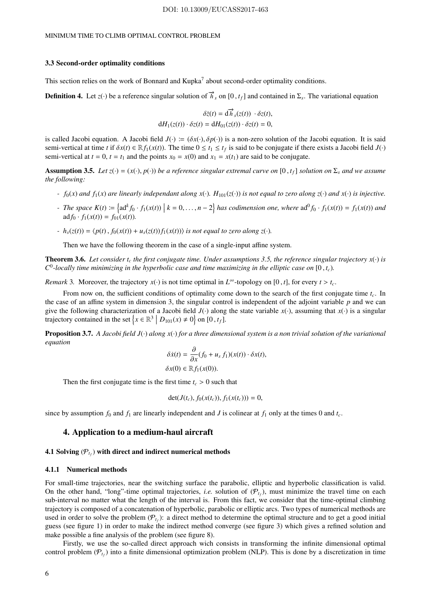#### 3.3 Second-order optimality conditions

This section relies on the work of Bonnard and Kupka<sup>7</sup> about second-order optimality conditions.

**Definition 4.** Let *z*(·) be a reference singular solution of  $\vec{h}_s$  on [0,  $t_f$ ] and contained in  $\Sigma_s$ . The variational equation

$$
\delta \dot{z}(t) = d\vec{h}_s(z(t)) \cdot \delta z(t),
$$
  

$$
dH_1(z(t)) \cdot \delta z(t) = dH_{01}(z(t)) \cdot \delta z(t) = 0,
$$

is called Jacobi equation. A Jacobi field  $J(\cdot) := (\delta x(\cdot), \delta p(\cdot))$  is a non-zero solution of the Jacobi equation. It is said semi-vertical at time *t* if  $\delta x(t) \in \mathbb{R} f_1(x(t))$ . The time  $0 \le t_1 \le t_f$  is said to be conjugate if there exists a Jacobi field  $J(\cdot)$ semi-vertical at  $t = 0$ ,  $t = t_1$  and the points  $x_0 = x(0)$  and  $x_1 = x(t_1)$  are said to be conjugate.

**Assumption 3.5.** Let  $z(\cdot) = (x(\cdot), p(\cdot))$  be a reference singular extremal curve on [0,  $t_f$ ] solution on  $\Sigma_s$  and we assume *the following:*

- *-*  $f_0(x)$  *and*  $f_1(x)$  *are linearly independant along*  $x(\cdot)$ *. H*<sub>101</sub>( $z(\cdot)$ ) *is not equal to zero along*  $z(\cdot)$  *and*  $x(\cdot)$  *is injective.*
- The space  $K(t) := \left\{ ad^k f_0 \cdot f_1(x(t)) \mid k = 0, ..., n-2 \right\}$  has codimension one, where  $ad^0 f_0 \cdot f_1(x(t)) = f_1(x(t))$  and  $\text{ad} f_0 \cdot f_1(x(t)) = f_{01}(x(t)).$
- *-*  $h_s(z(t)) = \langle p(t), f_0(x(t)) + u_s(z(t)) f_1(x(t)) \rangle$  *is not equal to zero along z*(·).

Then we have the following theorem in the case of a single-input affine system.

**Theorem 3.6.** Let consider  $t_c$  the first conjugate time. Under assumptions 3.5, the reference singular trajectory  $x(\cdot)$  is *C* 0 *-locally time minimizing in the hyperbolic case and time maximizing in the elliptic case on* [0 , *tc*)*.*

*Remark* 3. Moreover, the trajectory  $x(\cdot)$  is not time optimal in  $L^{\infty}$ -topology on [0, *t*], for every  $t > t_c$ .

From now on, the sufficient conditions of optimality come down to the search of the first conjugate time *tc*. In the case of an affine system in dimension 3, the singular control is independent of the adjoint variable *p* and we can give the following characterization of a Jacobi field  $J(\cdot)$  along the state variable  $x(\cdot)$ , assuming that  $x(\cdot)$  is a singular trajectory contained in the set  $\left\{x \in \mathbb{R}^3 \mid D_{101}(x) \neq 0\right\}$  on  $[0, t_f]$ .

Proposition 3.7. *A Jacobi field J*(·) *along x*(·) *for a three dimensional system is a non trivial solution of the variational equation*

$$
\delta \dot{x}(t) = \frac{\partial}{\partial x}(f_0 + u_s f_1)(x(t)) \cdot \delta x(t),
$$
  

$$
\delta x(0) \in \mathbb{R} f_1(x(0)).
$$

Then the first conjugate time is the first time  $t_c > 0$  such that

$$
\det(J(t_c), f_0(x(t_c)), f_1(x(t_c))) = 0,
$$

since by assumption  $f_0$  and  $f_1$  are linearly independent and *J* is colinear at  $f_1$  only at the times 0 and  $t_c$ .

## 4. Application to a medium-haul aircraft

# 4.1 Solving  $(\mathcal{P}_{t_f})$  with direct and indirect numerical methods

#### 4.1.1 Numerical methods

For small-time trajectories, near the switching surface the parabolic, elliptic and hyperbolic classification is valid. On the other hand, "long"-time optimal trajectories, *i.e.* solution of  $(P_{t_f})$ , must minimize the travel time on each sub-interval no matter what the length of the interval is. From this fact, we consider that the time-optimal climbing trajectory is composed of a concatenation of hyperbolic, parabolic or elliptic arcs. Two types of numerical methods are used in order to solve the problem  $(\mathcal{P}_{t_f})$ : a direct method to determine the optimal structure and to get a good initial guess (see figure 1) in order to make the indirect method converge (see figure 3) which gives a refined solution and make possible a fine analysis of the problem (see figure 8).

Firstly, we use the so-called direct approach wich consists in transforming the infinite dimensional optimal control problem  $(\mathcal{P}_{t_f})$  into a finite dimensional optimization problem (NLP). This is done by a discretization in time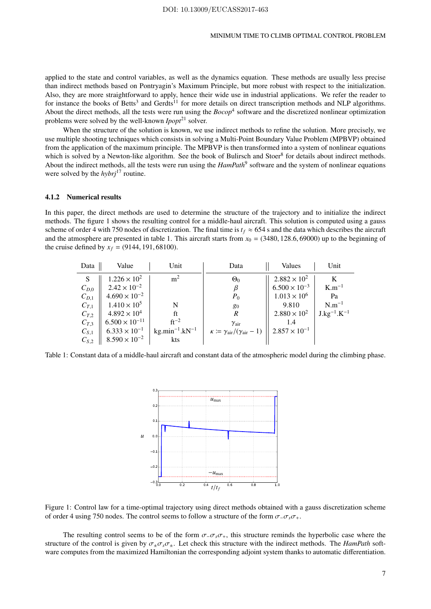applied to the state and control variables, as well as the dynamics equation. These methods are usually less precise than indirect methods based on Pontryagin's Maximum Principle, but more robust with respect to the initialization. Also, they are more straightforward to apply, hence their wide use in industrial applications. We refer the reader to for instance the books of Betts<sup>3</sup> and Gerdts<sup>11</sup> for more details on direct transcription methods and NLP algorithms. About the direct methods, all the tests were run using the  $Bocop<sup>4</sup>$  software and the discretized nonlinear optimization problems were solved by the well-known *Ipopt*<sup>21</sup> solver.

When the structure of the solution is known, we use indirect methods to refine the solution. More precisely, we use multiple shooting techniques which consists in solving a Multi-Point Boundary Value Problem (MPBVP) obtained from the application of the maximum principle. The MPBVP is then transformed into a system of nonlinear equations which is solved by a Newton-like algorithm. See the book of Bulirsch and Stoer<sup>8</sup> for details about indirect methods. About the indirect methods, all the tests were run using the *HamPath*<sup>9</sup> software and the system of nonlinear equations were solved by the *hybrj*<sup>17</sup> routine.

## 4.1.2 Numerical results

In this paper, the direct methods are used to determine the structure of the trajectory and to initialize the indirect methods. The figure 1 shows the resulting control for a middle-haul aircraft. This solution is computed using a gauss scheme of order 4 with 750 nodes of discretization. The final time is  $t_f \approx 654$  s and the data which describes the aircraft and the atmosphere are presented in table 1. This aircraft starts from  $x_0 = (3480, 128.6, 69000)$  up to the beginning of the cruise defined by  $x_f = (9144, 191, 68100)$ .

| Data      | Value                   | Unit                  | Data                                                             | Values                 | Unit               |
|-----------|-------------------------|-----------------------|------------------------------------------------------------------|------------------------|--------------------|
| S         | $1.226 \times 10^{2}$   | m <sup>2</sup>        | $\Theta_0$                                                       | $2.882 \times 10^{2}$  | K                  |
| $C_{D,0}$ | $2.42 \times 10^{-2}$   |                       |                                                                  | $6.500 \times 10^{-3}$ | $K.m^{-1}$         |
| $C_{D,1}$ | $4.690 \times 10^{-2}$  |                       | $P_0$                                                            | $1.013 \times 10^{6}$  | Pa                 |
| $C_{T,1}$ | $1.410 \times 10^5$     | N                     | 80                                                               | 9.810                  | $N.m^{-1}$         |
| $C_{T,2}$ | $4.892 \times 10^{4}$   | ft                    | $\boldsymbol{R}$                                                 | $2.880 \times 10^{2}$  | $J.kg^{-1}.K^{-1}$ |
| $C_{T,3}$ | $6.500 \times 10^{-11}$ | $ft^{-2}$             | $\gamma_{\text{air}}$                                            |                        |                    |
| $C_{S,1}$ | $6.333 \times 10^{-1}$  | $kg.min^{-1}.kN^{-1}$ | $\kappa \coloneqq \gamma_{\text{air}}/(\gamma_{\text{air}} - 1)$ | $2.857 \times 10^{-1}$ |                    |
| $C_{S,2}$ | $8.590 \times 10^{-2}$  | kts                   |                                                                  |                        |                    |

Table 1: Constant data of a middle-haul aircraft and constant data of the atmospheric model during the climbing phase.



Figure 1: Control law for a time-optimal trajectory using direct methods obtained with a gauss discretization scheme of order 4 using 750 nodes. The control seems to follow a structure of the form  $\sigma_-\sigma_s\sigma_+$ .

The resulting control seems to be of the form  $\sigma_-\sigma_s\sigma_+$ , this structure reminds the hyperbolic case where the structure of the control is given by  $\sigma_{+}\sigma_{s}\sigma_{+}$ . Let check this structure with the indirect methods. The *HamPath* software computes from the maximized Hamiltonian the corresponding adjoint system thanks to automatic differentiation.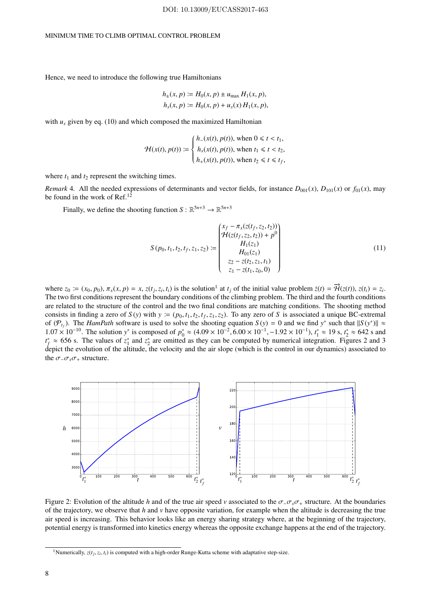Hence, we need to introduce the following true Hamiltonians

$$
h_{\pm}(x, p) := H_0(x, p) \pm u_{\text{max}} H_1(x, p),
$$
  

$$
h_s(x, p) := H_0(x, p) + u_s(x) H_1(x, p),
$$

with  $u_s$  given by eq. (10) and which composed the maximized Hamiltonian

$$
\mathcal{H}(x(t), p(t)) := \begin{cases} h_{-}(x(t), p(t)), \text{ when } 0 \leq t < t_1, \\ h_s(x(t), p(t)), \text{ when } t_1 \leq t < t_2, \\ h_{+}(x(t), p(t)), \text{ when } t_2 \leq t \leq t_f, \end{cases}
$$

where  $t_1$  and  $t_2$  represent the switching times.

*Remark* 4. All the needed expressions of determinants and vector fields, for instance  $D_{001}(x)$ ,  $D_{101}(x)$  or  $f_{01}(x)$ , may be found in the work of Ref.<sup>12</sup>

Finally, we define the shooting function  $S : \mathbb{R}^{5n+3} \to \mathbb{R}^{5n+3}$ 

$$
S(p_0, t_1, t_2, t_f, z_1, z_2) := \begin{pmatrix} x_f - \pi_x(z(t_f, z_2, t_2)) \\ \mathcal{H}(z(t_f, z_2, t_2)) + p^0 \\ H_1(z_1) \\ H_0(z_1) \\ z_2 - z(t_2, z_1, t_1) \\ z_1 - z(t_1, z_0, 0) \end{pmatrix}
$$
(11)

where  $z_0 := (x_0, p_0)$ ,  $\pi_x(x, p) = x$ ,  $z(t_j, z_i, t_i)$  is the solution<sup>1</sup> at  $t_j$  of the initial value problem  $\dot{z}(t) = \vec{\mathcal{H}}(z(t))$ ,  $z(t_i) = z_i$ . The two first conditions represent the boundary conditions of the climbing problem. The third and the fourth conditions are related to the structure of the control and the two final conditions are matching conditions. The shooting method consists in finding a zero of  $S(y)$  with  $y = (p_0, t_1, t_2, t_f, z_1, z_2)$ . To any zero of S is associated a unique BC-extremal of  $(P_{t_f})$ . The *HamPath* software is used to solve the shooting equation  $S(y) = 0$  and we find  $y^*$  such that  $||S(y^*)|| \approx$ 1.07 × 10<sup>-10</sup>. The solution *y*<sup>\*</sup> is composed of  $p_0^* \approx (4.09 \times 10^{-2}, 6.00 \times 10^{-1}, -1.92 \times 10^{-1}), t_1^* \approx 19 \text{ s}, t_2^* \approx 642 \text{ s}$  and  $t_f^* \approx 656$  s. The values of  $z_1^*$  and  $z_2^*$  are omitted as they can be computed by numerical integration. Figures 2 and 3 depict the evolution of the altitude, the velocity and the air slope (which is the control in our dynamics) associated to the  $\sigma_-\sigma_s\sigma_+$  structure.



Figure 2: Evolution of the altitude *h* and of the true air speed *v* associated to the σ−σ*s*σ<sup>+</sup> structure. At the boundaries of the trajectory, we observe that *h* and *v* have opposite variation, for example when the altitude is decreasing the true air speed is increasing. This behavior looks like an energy sharing strategy where, at the beginning of the trajectory, potential energy is transformed into kinetics energy whereas the opposite exchange happens at the end of the trajectory.

<sup>&</sup>lt;sup>1</sup>Numerically,  $z(t_j, z_i, t_i)$  is computed with a high-order Runge-Kutta scheme with adaptative step-size.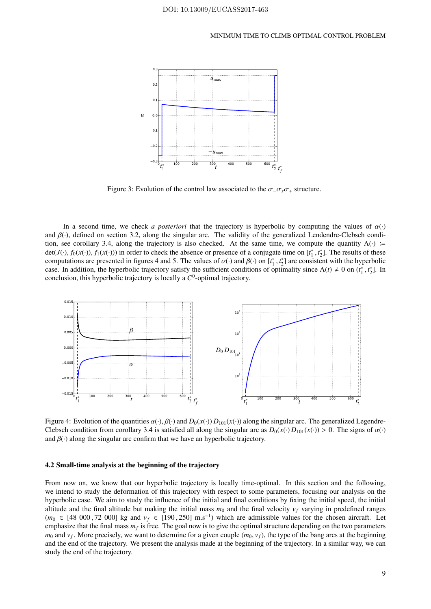

Figure 3: Evolution of the control law associated to the  $\sigma_-\sigma_\nu$  structure.

In a second time, we check *a posteriori* that the trajectory is hyperbolic by computing the values of  $\alpha(\cdot)$ and  $\beta(\cdot)$ , defined on section 3.2, along the singular arc. The validity of the generalized Lendendre-Clebsch condition, see corollary 3.4, along the trajectory is also checked. At the same time, we compute the quantity  $\Lambda(\cdot)$  := det(*J*(·),  $f_0(x(\cdot))$ ,  $f_1(x(\cdot))$ ) in order to check the absence or presence of a conjugate time on  $[t_1^*, t_2^*]$ . The results of these computations are presented in figures 4 and 5. The values of  $\alpha(\cdot)$  and  $\beta(\cdot)$  on  $[t_1^*, t_2^*]$  are consistent with the hyperbolic case. In addition, the hyperbolic trajectory satisfy the sufficient conditions of optimality since  $\Lambda(t) \neq 0$  on  $(t_1^*, t_2^*]$ . In conclusion, this hyperbolic trajectory is locally a *C* 0 -optimal trajectory.



Figure 4: Evolution of the quantities  $\alpha(\cdot), \beta(\cdot)$  and  $D_0(x(\cdot)) D_{101}(x(\cdot))$  along the singular arc. The generalized Legendre-Clebsch condition from corollary 3.4 is satisfied all along the singular arc as  $D_0(x(\cdot)D_{101}(x(\cdot)) > 0$ . The signs of  $\alpha(\cdot)$ and  $\beta(\cdot)$  along the singular arc confirm that we have an hyperbolic trajectory.

#### 4.2 Small-time analysis at the beginning of the trajectory

From now on, we know that our hyperbolic trajectory is locally time-optimal. In this section and the following, we intend to study the deformation of this trajectory with respect to some parameters, focusing our analysis on the hyperbolic case. We aim to study the influence of the initial and final conditions by fixing the initial speed, the initial altitude and the final altitude but making the initial mass  $m_0$  and the final velocity  $v_f$  varying in predefined ranges  $(m_0 \in [48\ 000\ 72\ 000]$  kg and  $v_f \in [190\ 250]$  m.s<sup>-1</sup>) which are admissible values for the chosen aircraft. Let emphasize that the final mass  $m_f$  is free. The goal now is to give the optimal structure depending on the two parameters  $m_0$  and  $v_f$ . More precisely, we want to determine for a given couple  $(m_0, v_f)$ , the type of the bang arcs at the beginning and the end of the trajectory. We present the analysis made at the beginning of the trajectory. In a similar way, we can study the end of the trajectory.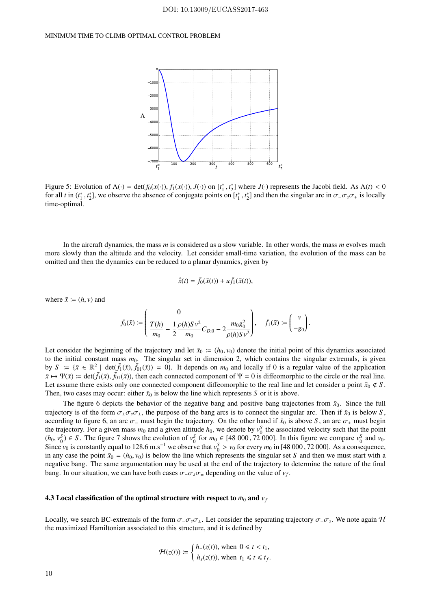

Figure 5: Evolution of  $\Lambda(\cdot) = \det(f_0(x(\cdot)), f_1(x(\cdot)), J(\cdot))$  on  $[t_1^*, t_2^*]$  where  $J(\cdot)$  represents the Jacobi field. As  $\Lambda(t) < 0$ for all *t* in  $(t_1^*, t_2^*]$ , we observe the absence of conjugate points on  $[t_1^*, t_2^*]$  and then the singular arc in  $\sigma_- \sigma_s \sigma_+$  is locally time-optimal.

In the aircraft dynamics, the mass *m* is considered as a slow variable. In other words, the mass *m* evolves much more slowly than the altitude and the velocity. Let consider small-time variation, the evolution of the mass can be omitted and then the dynamics can be reduced to a planar dynamics, given by

$$
\dot{\bar{x}}(t) = \bar{f}_0(\bar{x}(t)) + u\bar{f}_1(\bar{x}(t)),
$$

where  $\bar{x} := (h, v)$  and

$$
\bar{f}_0(\bar{x}) := \left(\frac{0}{m_0} - \frac{1}{2}\frac{\rho(h)S\,v^2}{m_0}C_{D,0} - 2\frac{m_0g_0^2}{\rho(h)S\,v^2}\right), \quad \bar{f}_1(\bar{x}) := \left(\begin{matrix} v \\ -g_0 \end{matrix}\right).
$$

Let consider the beginning of the trajectory and let  $\bar{x}_0 := (h_0, v_0)$  denote the initial point of this dynamics associated to the initial constant mass  $m_0$ . The singular set in dimension 2, which contains the singular extremals, is given by  $S := {\bar{x} \in \mathbb{R}^2 \mid \det(\bar{f}_1(\bar{x}), \bar{f}_0( \bar{x}) = 0}$ . It depends on  $m_0$  and locally if 0 is a regular value of the application  $\bar{x} \mapsto \Psi(\bar{x}) \coloneqq \det(\bar{f}_1(\bar{x}), \bar{f}_{01}(\bar{x}))$ , then each connected component of  $\Psi = 0$  is diffeomorphic to the circle or the real line. Let assume there exists only one connected component diffeomorphic to the real line and let consider a point  $\bar{x}_0 \notin S$ . Then, two cases may occur: either  $\bar{x}_0$  is below the line which represents *S* or it is above.

The figure 6 depicts the behavior of the negative bang and positive bang trajectories from  $\bar{x}_0$ . Since the full trajectory is of the form  $\sigma_{\pm}\sigma_{s}\sigma_{\pm}$ , the purpose of the bang arcs is to connect the singular arc. Then if  $\bar{x}_0$  is below *S*, according to figure 6, an arc  $\sigma$ <sub>-</sub> must begin the trajectory. On the other hand if  $\bar{x}_0$  is above *S*, an arc  $\sigma$ <sub>+</sub> must begin the trajectory. For a given mass  $m_0$  and a given altitude  $h_0$ , we denote by  $v_0^S$  the associated velocity such that the point  $(h_0, v_0^S) \in S$ . The figure 7 shows the evolution of  $v_0^S$  for  $m_0 \in [48\ 000, 72\ 000]$ . In this figure we compare  $v_0^S$  and  $v_0$ . Since  $v_0$  is constantly equal to 128.6 m.s<sup>-1</sup> we observe that  $v_0^S > v_0$  for every  $m_0$  in [48 000, 72 000]. As a consequence, in any case the point  $\bar{x}_0 = (h_0, v_0)$  is below the line which represents the singular set *S* and then we must start with a negative bang. The same argumentation may be used at the end of the trajectory to determine the nature of the final bang. In our situation, we can have both cases  $\sigma_-\sigma_s\sigma_{\pm}$  depending on the value of  $v_f$ .

#### 4.3 Local classification of the optimal structure with respect to  $\bar{m}_0$  and  $v_f$

Locally, we search BC-extremals of the form  $\sigma_-\sigma_s\sigma_{\pm}$ . Let consider the separating trajectory  $\sigma_-\sigma_s$ . We note again H the maximized Hamiltonian associated to this structure, and it is defined by

$$
\mathcal{H}(z(t)) := \begin{cases} h_{-}(z(t)), \text{ when } 0 \leq t < t_1, \\ h_{s}(z(t)), \text{ when } t_1 \leq t \leq t_f. \end{cases}
$$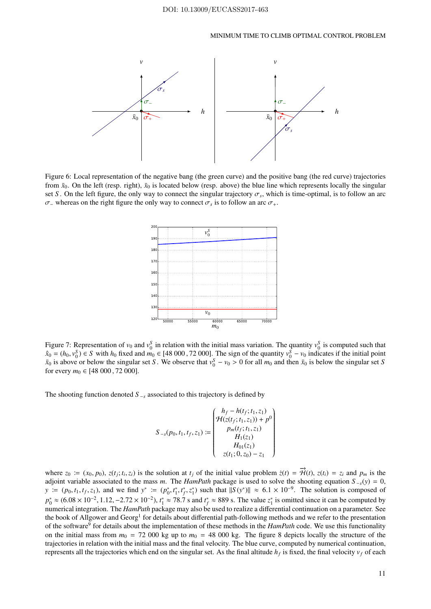

Figure 6: Local representation of the negative bang (the green curve) and the positive bang (the red curve) trajectories from  $\bar{x}_0$ . On the left (resp. right),  $\bar{x}_0$  is located below (resp. above) the blue line which represents locally the singular set *S*. On the left figure, the only way to connect the singular trajectory  $\sigma_s$ , which is time-optimal, is to follow an arc  $\sigma$ <sub>-</sub> whereas on the right figure the only way to connect  $\sigma_s$  is to follow an arc  $\sigma_+$ .



Figure 7: Representation of  $v_0$  and  $v_0^S$  in relation with the initial mass variation. The quantity  $v_0^S$  is computed such that  $\hat{x}_0 = (h_0, v_0^S) \in S$  with  $h_0$  fixed and  $\hat{m_0} \in [48\,000, 72\,000]$ . The sign of the quantity  $v_0^S - v_0$  indicates if the initial point  $\bar{x}_0$  is above or below the singular set *S*. We observe that  $v_0^S - v_0 > 0$  for all  $m_0$  and then  $\bar{x}_0$  is below the singular set *S* for every  $m_0 \in [48\ 000\ 72\ 000]$ .

The shooting function denoted  $S_{\textit{-}s}$  associated to this trajectory is defined by

$$
S_{-s}(p_0, t_1, t_f, z_1) := \begin{pmatrix} h_f - h(t_f; t_1, z_1) \\ \mathcal{H}(z(t_f; t_1, z_1)) + p^0 \\ p_m(t_f; t_1, z_1) \\ H_1(z_1) \\ H_01(z_1) \\ z(t_1; 0, z_0) - z_1 \end{pmatrix}
$$

where  $z_0 := (x_0, p_0)$ ,  $z(t_j; t_i, z_i)$  is the solution at  $t_j$  of the initial value problem  $\dot{z}(t) = \vec{\mathcal{H}}(t)$ ,  $z(t_i) = z_i$  and  $p_m$  is the adjoint variable associated to the mass *m*. The *HamPath* package is used to solve the shooting equation  $S_{-s}(y) = 0$ ,  $y := (p_0, t_1, t_f, z_1)$ , and we find  $y^* := (p_0^*, t_1^*, t_f^*, z_1^*)$  such that  $||S(y^*)|| \approx 6.1 \times 10^{-9}$ . The solution is composed of  $p_0^* \approx (6.08 \times 10^{-2}, 1.12, -2.72 \times 10^{-2}), t_1^* \approx 78.7$  s and  $t_f^* \approx 889$  s. The value  $z_1^*$  is omitted since it can be computed by numerical integration. The *HamPath* package may also be used to realize a differential continuation on a parameter. See the book of Allgower and Georg<sup>1</sup> for details about differential path-following methods and we refer to the presentation of the software<sup>9</sup> for details about the implementation of these methods in the *HamPath* code. We use this functionality on the initial mass from  $m_0 = 72\,000$  kg up to  $m_0 = 48\,000$  kg. The figure 8 depicts locally the structure of the trajectories in relation with the initial mass and the final velocity. The blue curve, computed by numerical continuation, represents all the trajectories which end on the singular set. As the final altitude  $h_f$  is fixed, the final velocity  $v_f$  of each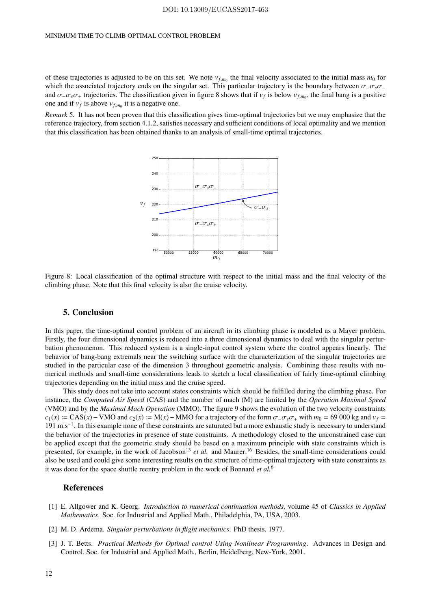of these trajectories is adjusted to be on this set. We note  $v_{f,m_0}$  the final velocity associated to the initial mass  $m_0$  for which the associated trajectory ends on the singular set. This particular trajectory is the boundary between σ−σ*s*σ<sup>−</sup> and  $\sigma$ <sub>-</sub> $\sigma_s \sigma$ <sub>+</sub> trajectories. The classification given in figure 8 shows that if  $v_f$  is below  $v_{f,m_0}$ , the final bang is a positive one and if  $v_f$  is above  $v_{f,m_0}$  it is a negative one.

*Remark* 5*.* It has not been proven that this classification gives time-optimal trajectories but we may emphasize that the reference trajectory, from section 4.1.2, satisfies necessary and sufficient conditions of local optimality and we mention that this classification has been obtained thanks to an analysis of small-time optimal trajectories.



Figure 8: Local classification of the optimal structure with respect to the initial mass and the final velocity of the climbing phase. Note that this final velocity is also the cruise velocity.

## 5. Conclusion

In this paper, the time-optimal control problem of an aircraft in its climbing phase is modeled as a Mayer problem. Firstly, the four dimensional dynamics is reduced into a three dimensional dynamics to deal with the singular perturbation phenomenon. This reduced system is a single-input control system where the control appears linearly. The behavior of bang-bang extremals near the switching surface with the characterization of the singular trajectories are studied in the particular case of the dimension 3 throughout geometric analysis. Combining these results with numerical methods and small-time considerations leads to sketch a local classification of fairly time-optimal climbing trajectories depending on the initial mass and the cruise speed.

This study does not take into account states constraints which should be fulfilled during the climbing phase. For instance, the *Computed Air Speed* (CAS) and the number of mach (M) are limited by the *Operation Maximal Speed* (VMO) and by the *Maximal Mach Operation* (MMO). The figure 9 shows the evolution of the two velocity constraints  $c_1(x)$  i= CAS(*x*) – VMO and  $c_2(x)$  i= M(*x*) – MMO for a trajectory of the form  $\sigma$ <sub>−</sub> $\sigma$ <sub>s</sub> $\sigma$ <sub>+</sub> with  $m_0$  = 69 000 kg and  $v_f$  = 191 m.s−<sup>1</sup> . In this example none of these constraints are saturated but a more exhaustic study is necessary to understand the behavior of the trajectories in presence of state constraints. A methodology closed to the unconstrained case can be applied except that the geometric study should be based on a maximum principle with state constraints which is presented, for example, in the work of Jacobson<sup>13</sup> *et al.* and Maurer.<sup>16</sup> Besides, the small-time considerations could also be used and could give some interesting results on the structure of time-optimal trajectory with state constraints as it was done for the space shuttle reentry problem in the work of Bonnard *et al.*<sup>6</sup>

## References

- [1] E. Allgower and K. Georg. *Introduction to numerical continuation methods*, volume 45 of *Classics in Applied Mathematics*. Soc. for Industrial and Applied Math., Philadelphia, PA, USA, 2003.
- [2] M. D. Ardema. *Singular perturbations in flight mechanics*. PhD thesis, 1977.
- [3] J. T. Betts. *Practical Methods for Optimal control Using Nonlinear Programming*. Advances in Design and Control. Soc. for Industrial and Applied Math., Berlin, Heidelberg, New-York, 2001.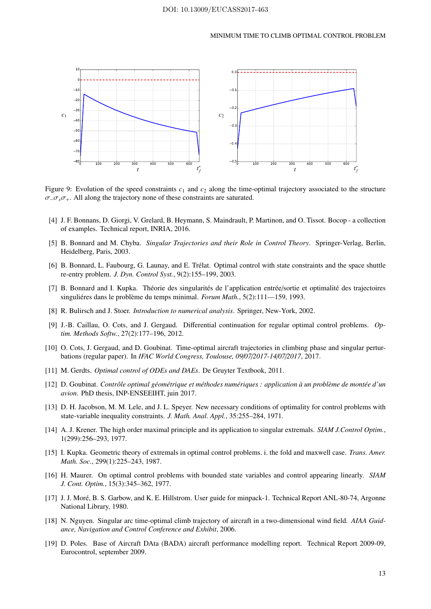

Figure 9: Evolution of the speed constraints  $c_1$  and  $c_2$  along the time-optimal trajectory associated to the structure σ−σ*s*σ+. All along the trajectory none of these constraints are saturated.

- [4] J. F. Bonnans, D. Giorgi, V. Grelard, B. Heymann, S. Maindrault, P. Martinon, and O. Tissot. Bocop a collection of examples. Technical report, INRIA, 2016.
- [5] B. Bonnard and M. Chyba. *Singular Trajectories and their Role in Control Theory*. Springer-Verlag, Berlin, Heidelberg, Paris, 2003.
- [6] B. Bonnard, L. Faubourg, G. Launay, and E. Trélat. Optimal control with state constraints and the space shuttle re-entry problem. *J. Dyn. Control Syst.*, 9(2):155–199, 2003.
- [7] B. Bonnard and I. Kupka. Théorie des singularités de l'application entrée/sortie et optimalité des trajectoires singuliéres dans le problème du temps minimal. *Forum Math.*, 5(2):111—159, 1993.
- [8] R. Bulirsch and J. Stoer. *Introduction to numerical analysis*. Springer, New-York, 2002.
- [9] J.-B. Caillau, O. Cots, and J. Gergaud. Differential continuation for regular optimal control problems. *Optim. Methods Softw.*, 27(2):177–196, 2012.
- [10] O. Cots, J. Gergaud, and D. Goubinat. Time-optimal aircraft trajectories in climbing phase and singular perturbations (regular paper). In *IFAC World Congress, Toulouse, 09*/*07*/*2017-14*/*07*/*2017*, 2017.
- [11] M. Gerdts. *Optimal control of ODEs and DAEs*. De Gruyter Textbook, 2011.
- [12] D. Goubinat. *Contrôle optimal géométrique et méthodes numériques : application à un problème de montée d'un avion*. PhD thesis, INP-ENSEEIHT, juin 2017.
- [13] D. H. Jacobson, M. M. Lele, and J. L. Speyer. New necessary conditions of optimality for control problems with state-variable inequality constraints. *J. Math. Anal. Appl.*, 35:255–284, 1971.
- [14] A. J. Krener. The high order maximal principle and its application to singular extremals. *SIAM J.Control Optim.*, 1(299):256–293, 1977.
- [15] I. Kupka. Geometric theory of extremals in optimal control problems. i. the fold and maxwell case. *Trans. Amer. Math. Soc.*, 299(1):225–243, 1987.
- [16] H. Maurer. On optimal control problems with bounded state variables and control appearing linearly. *SIAM J. Cont. Optim.*, 15(3):345–362, 1977.
- [17] J. J. Moré, B. S. Garbow, and K. E. Hillstrom. User guide for minpack-1. Technical Report ANL-80-74, Argonne National Library, 1980.
- [18] N. Nguyen. Singular arc time-optimal climb trajectory of aircraft in a two-dimensional wind field. *AIAA Guidance, Navigation and Control Conference and Exhibit*, 2006.
- [19] D. Poles. Base of Aircraft DAta (BADA) aircraft performance modelling report. Technical Report 2009-09, Eurocontrol, september 2009.